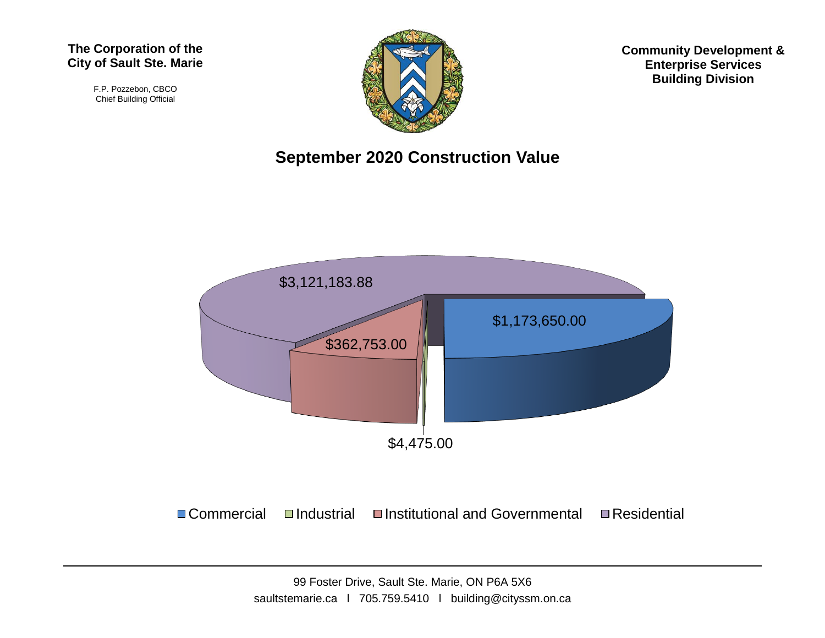#### **The Corporation of the City of Sault Ste. Marie**

F.P. Pozzebon, CBCO Chief Building Official



**Community Development & Enterprise Services Building Division**

#### **September 2020 Construction Value**



 $\Box$  Commercial  $\Box$ Industrial  $\Box$ Institutional and Governmental  $\Box$ Residential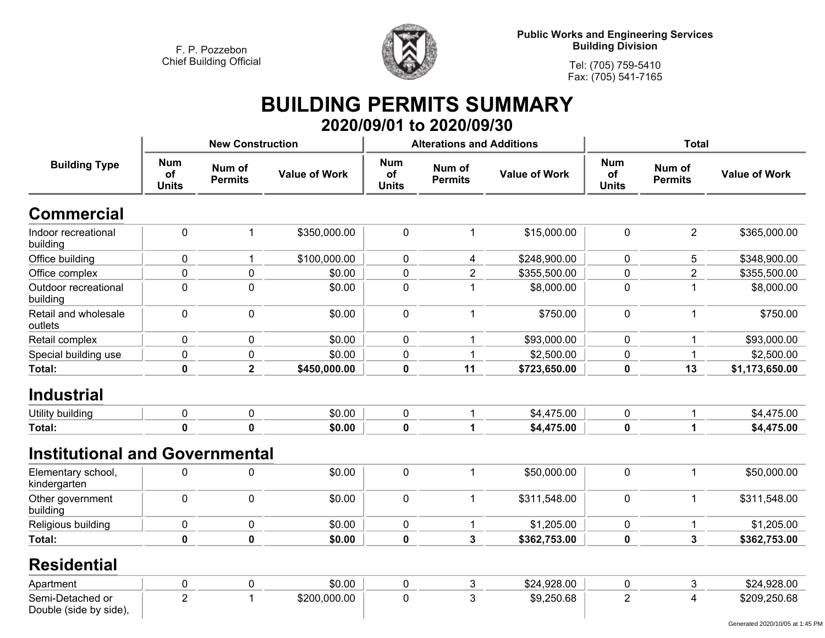

**Tel: (705) 759-5410 Fax: (705) 541-7165**

## **BUILDING PERMITS SUMMARY 2020/09/01 to 2020/09/30**

|                                            |                                                              | <b>New Construction</b> |                      |                                  | <b>Alterations and Additions</b> |                      | <b>Total</b>                     |                          |                      |
|--------------------------------------------|--------------------------------------------------------------|-------------------------|----------------------|----------------------------------|----------------------------------|----------------------|----------------------------------|--------------------------|----------------------|
| <b>Building Type</b>                       | <b>Num</b><br>Num of<br>of<br><b>Permits</b><br><b>Units</b> |                         | <b>Value of Work</b> | <b>Num</b><br>of<br><b>Units</b> | Num of<br><b>Permits</b>         | <b>Value of Work</b> | <b>Num</b><br>of<br><b>Units</b> | Num of<br><b>Permits</b> | <b>Value of Work</b> |
| <b>Commercial</b>                          |                                                              |                         |                      |                                  |                                  |                      |                                  |                          |                      |
| Indoor recreational<br>building            | $\pmb{0}$                                                    | 1                       | \$350,000.00         | $\mathbf 0$                      | $\mathbf 1$                      | \$15,000.00          | $\mathbf 0$                      | $\overline{2}$           | \$365,000.00         |
| Office building                            | 0                                                            | 1                       | \$100,000.00         | 0                                | 4                                | \$248,900.00         | $\mathbf 0$                      | 5                        | \$348,900.00         |
| Office complex                             | 0                                                            | 0                       | \$0.00               | $\mathbf 0$                      | $\overline{2}$                   | \$355,500.00         | $\mathbf 0$                      | $\overline{2}$           | \$355,500.00         |
| Outdoor recreational<br>building           | 0                                                            | $\pmb{0}$               | \$0.00               | $\pmb{0}$                        |                                  | \$8,000.00           | $\pmb{0}$                        | 1                        | \$8,000.00           |
| Retail and wholesale<br>outlets            | 0                                                            | $\mathbf 0$             | \$0.00               | $\pmb{0}$                        | $\mathbf{1}$                     | \$750.00             | $\mathbf 0$                      | $\mathbf 1$              | \$750.00             |
| Retail complex                             | 0                                                            | $\mathbf 0$             | \$0.00               | $\pmb{0}$                        |                                  | \$93,000.00          | 0                                | 1                        | \$93,000.00          |
| Special building use                       | 0                                                            | 0                       | \$0.00               | $\pmb{0}$                        |                                  | \$2,500.00           | 0                                | 1                        | \$2,500.00           |
| Total:                                     | 0                                                            | $\overline{\mathbf{2}}$ | \$450,000.00         | $\mathbf 0$                      | 11                               | \$723,650.00         | $\mathbf 0$                      | 13                       | \$1,173,650.00       |
| <b>Industrial</b>                          |                                                              |                         |                      |                                  |                                  |                      |                                  |                          |                      |
| Utility building                           | 0                                                            | $\mathbf 0$             | \$0.00               | $\pmb{0}$                        | $\mathbf{1}$                     | \$4,475.00           | $\mathbf 0$                      | 1                        | \$4,475.00           |
| Total:                                     | 0                                                            | $\mathbf 0$             | \$0.00               | $\mathbf 0$                      | 1                                | \$4,475.00           | 0                                | 1                        | \$4,475.00           |
| <b>Institutional and Governmental</b>      |                                                              |                         |                      |                                  |                                  |                      |                                  |                          |                      |
| Elementary school,<br>kindergarten         | 0                                                            | $\mathbf 0$             | \$0.00               | $\pmb{0}$                        | 1                                | \$50,000.00          | $\mathbf 0$                      | 1                        | \$50,000.00          |
| Other government<br>building               | 0                                                            | $\mathbf 0$             | \$0.00               | $\pmb{0}$                        | $\mathbf 1$                      | \$311,548.00         | $\mathbf 0$                      | 1                        | \$311,548.00         |
| Religious building                         | 0                                                            | $\mathbf 0$             | \$0.00               | 0                                | 1                                | \$1,205.00           | 0                                | 1                        | \$1,205.00           |
| <b>Total:</b>                              | 0                                                            | $\mathbf 0$             | \$0.00               | $\mathbf 0$                      | 3                                | \$362,753.00         | $\mathbf 0$                      | 3                        | \$362,753.00         |
| <b>Residential</b>                         |                                                              |                         |                      |                                  |                                  |                      |                                  |                          |                      |
| Apartment                                  | 0                                                            | 0                       | \$0.00               | 0                                | 3                                | \$24,928.00          | 0                                | 3                        | \$24,928.00          |
| Semi-Detached or<br>Double (side by side), | $\overline{2}$                                               | 1                       | \$200,000.00         | $\mathbf 0$                      | 3                                | \$9,250.68           | $\overline{2}$                   | 4                        | \$209,250.68         |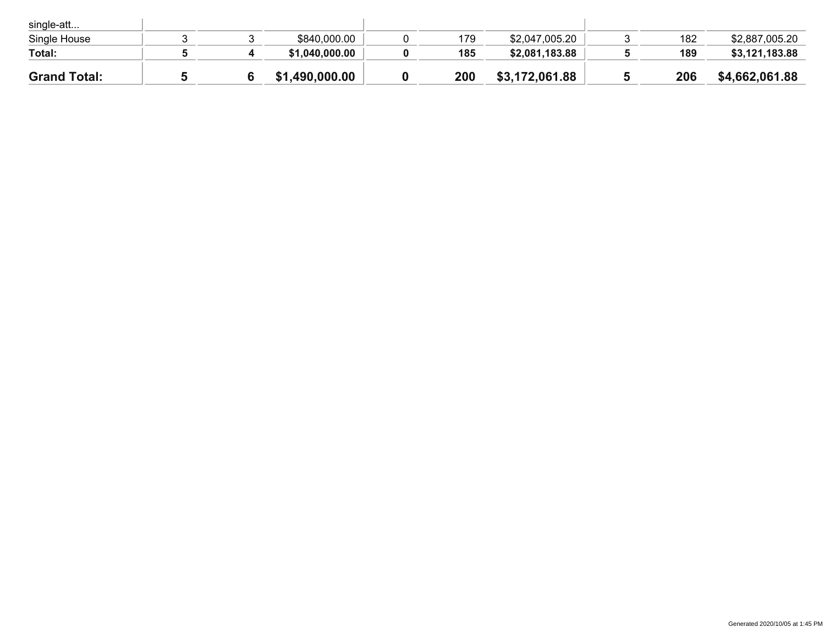| <b>Grand Total:</b> |  | \$1,490,000.00 | 200 | \$3,172,061.88 | 206 | \$4,662,061.88 |
|---------------------|--|----------------|-----|----------------|-----|----------------|
| Total:              |  | \$1,040,000.00 | 185 | \$2,081,183.88 | 189 | \$3,121,183.88 |
| Single House        |  | \$840,000.00   | 179 | \$2,047,005.20 | 182 | \$2,887,005.20 |
| single-att          |  |                |     |                |     |                |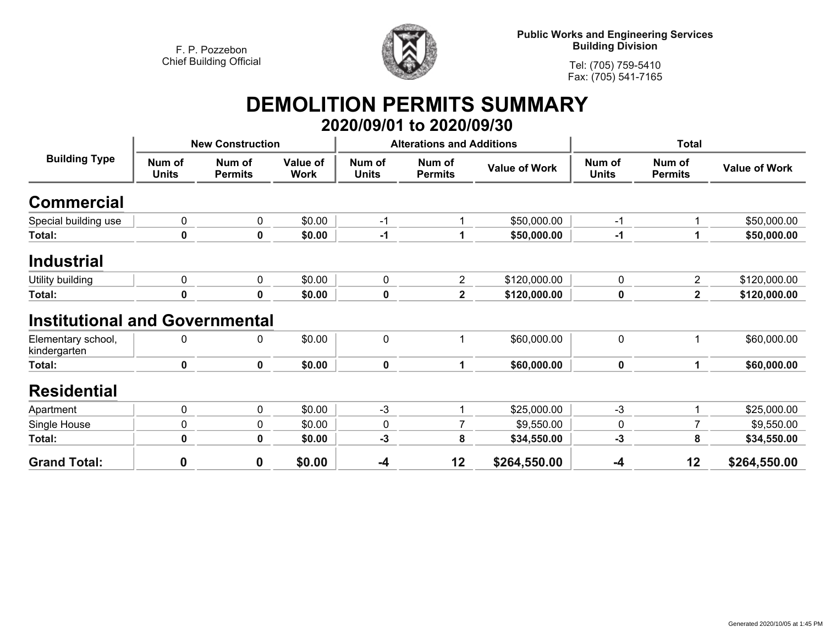

**Public Works and Engineering Services Building Division**

**Tel: (705) 759-5410Fax: (705) 541-7165**

## **DEMOLITION PERMITS SUMMARY 2020/09/01 to 2020/09/30**

| <b>Building Type</b>                  |                        | <b>New Construction</b>  |                         |                        | <b>Alterations and Additions</b> |                      | <b>Total</b>           |                          |                      |
|---------------------------------------|------------------------|--------------------------|-------------------------|------------------------|----------------------------------|----------------------|------------------------|--------------------------|----------------------|
|                                       | Num of<br><b>Units</b> | Num of<br><b>Permits</b> | Value of<br><b>Work</b> | Num of<br><b>Units</b> | Num of<br><b>Permits</b>         | <b>Value of Work</b> | Num of<br><b>Units</b> | Num of<br><b>Permits</b> | <b>Value of Work</b> |
| Commercial                            |                        |                          |                         |                        |                                  |                      |                        |                          |                      |
| Special building use                  | 0                      | 0                        | \$0.00                  | $-1$                   | 1                                | \$50,000.00          | $-1$                   | 1                        | \$50,000.00          |
| Total:                                | 0                      | 0                        | \$0.00                  | $-1$                   | 1                                | \$50,000.00          | $-1$                   |                          | \$50,000.00          |
| <b>Industrial</b>                     |                        |                          |                         |                        |                                  |                      |                        |                          |                      |
| Utility building                      | 0                      | 0                        | \$0.00                  | $\mathbf 0$            | $\overline{2}$                   | \$120,000.00         | $\mathbf 0$            | $\overline{2}$           | \$120,000.00         |
| Total:                                | 0                      | 0                        | \$0.00                  | 0                      | $\mathbf 2$                      | \$120,000.00         | 0                      | $\overline{\mathbf{2}}$  | \$120,000.00         |
| <b>Institutional and Governmental</b> |                        |                          |                         |                        |                                  |                      |                        |                          |                      |
| Elementary school,<br>kindergarten    | 0                      | 0                        | \$0.00                  | $\mathbf 0$            | 1                                | \$60,000.00          | $\mathbf 0$            | 1                        | \$60,000.00          |
| Total:                                | 0                      | $\mathbf 0$              | \$0.00                  | $\mathbf 0$            | 1                                | \$60,000.00          | $\mathbf 0$            |                          | \$60,000.00          |
| <b>Residential</b>                    |                        |                          |                         |                        |                                  |                      |                        |                          |                      |
| Apartment                             | 0                      | 0                        | \$0.00                  | $-3$                   | 1                                | \$25,000.00          | $-3$                   | 1                        | \$25,000.00          |
| Single House                          | 0                      | 0                        | \$0.00                  | 0                      | 7                                | \$9,550.00           | 0                      | $\overline{7}$           | \$9,550.00           |
| Total:                                | 0                      | 0                        | \$0.00                  | $-3$                   | 8                                | \$34,550.00          | -3                     | 8                        | \$34,550.00          |
| <b>Grand Total:</b>                   | $\mathbf 0$            | 0                        | \$0.00                  | $-4$                   | 12                               | \$264,550.00         | $-4$                   | 12                       | \$264,550.00         |